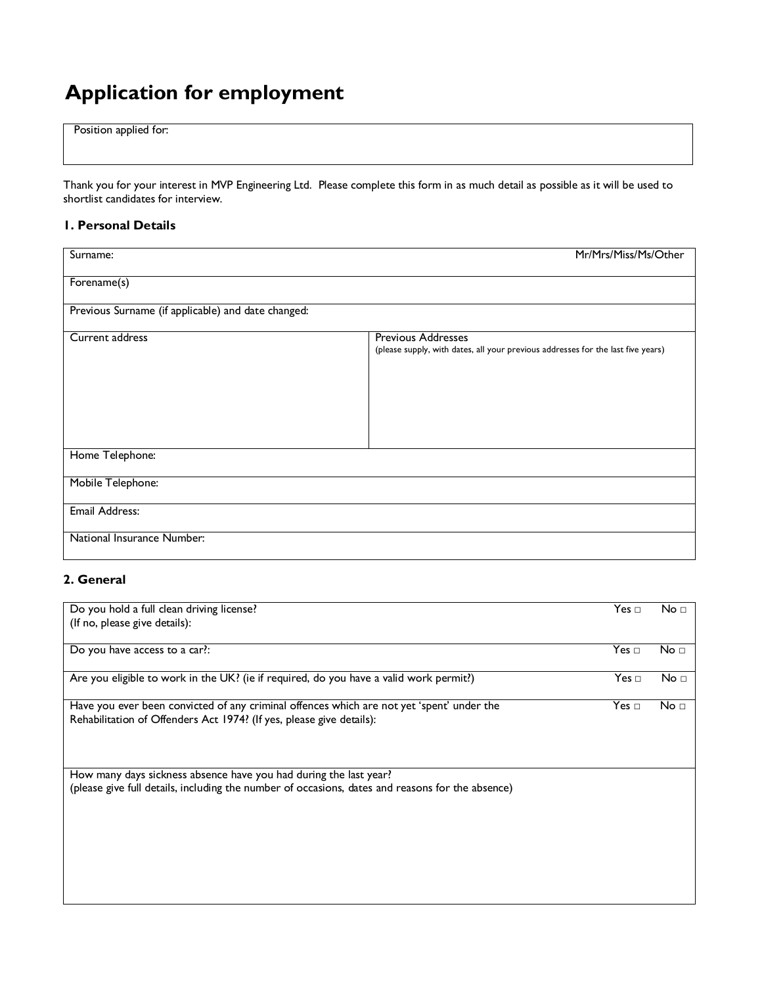# Application for employment

Position applied for:

Thank you for your interest in MVP Engineering Ltd. Please complete this form in as much detail as possible as it will be used to shortlist candidates for interview.

## 1. Personal Details

| Surname:                                           | Mr/Mrs/Miss/Ms/Other                                                                                          |  |
|----------------------------------------------------|---------------------------------------------------------------------------------------------------------------|--|
| Forename(s)                                        |                                                                                                               |  |
| Previous Surname (if applicable) and date changed: |                                                                                                               |  |
| Current address                                    | <b>Previous Addresses</b><br>(please supply, with dates, all your previous addresses for the last five years) |  |
| Home Telephone:                                    |                                                                                                               |  |
| Mobile Telephone:                                  |                                                                                                               |  |
| Email Address:                                     |                                                                                                               |  |
| National Insurance Number:                         |                                                                                                               |  |

## 2. General

| Do you hold a full clean driving license?                                                        | Yes ⊡                | No <sub>1</sub> |
|--------------------------------------------------------------------------------------------------|----------------------|-----------------|
|                                                                                                  |                      |                 |
| (If no, please give details):                                                                    |                      |                 |
|                                                                                                  |                      |                 |
| Do you have access to a car?:                                                                    | Yes $\sqcap$         | No <sub>1</sub> |
|                                                                                                  |                      |                 |
| Are you eligible to work in the UK? (ie if required, do you have a valid work permit?)           | $\mathsf{Yes}\ \Box$ | No <sub>1</sub> |
|                                                                                                  |                      |                 |
| Have you ever been convicted of any criminal offences which are not yet 'spent' under the        | Yes $\Box$           | No □            |
| Rehabilitation of Offenders Act 1974? (If yes, please give details):                             |                      |                 |
|                                                                                                  |                      |                 |
|                                                                                                  |                      |                 |
|                                                                                                  |                      |                 |
|                                                                                                  |                      |                 |
| How many days sickness absence have you had during the last year?                                |                      |                 |
| (please give full details, including the number of occasions, dates and reasons for the absence) |                      |                 |
|                                                                                                  |                      |                 |
|                                                                                                  |                      |                 |
|                                                                                                  |                      |                 |
|                                                                                                  |                      |                 |
|                                                                                                  |                      |                 |
|                                                                                                  |                      |                 |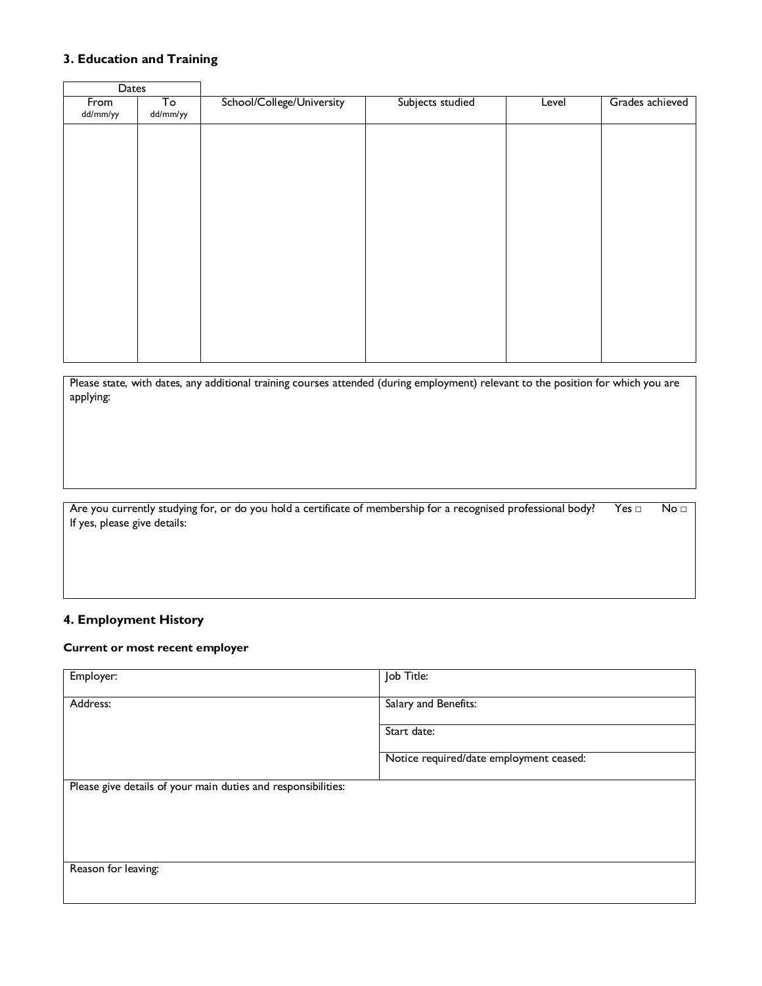## 3. Education and Training

| Dates            |                |                           |                  |       |                 |
|------------------|----------------|---------------------------|------------------|-------|-----------------|
| From<br>dd/mm/yy | To<br>dd/mm/yy | School/College/University | Subjects studied | Level | Grades achieved |
|                  |                |                           |                  |       |                 |
|                  |                |                           |                  |       |                 |
|                  |                |                           |                  |       |                 |
|                  |                |                           |                  |       |                 |
|                  |                |                           |                  |       |                 |
|                  |                |                           |                  |       |                 |
|                  |                |                           |                  |       |                 |
|                  |                |                           |                  |       |                 |
|                  |                |                           |                  |       |                 |

Please state, with dates, any additional training courses attended (during employment) relevant to the position for which you are applying:

Are you currently studying for, or do you hold a certificate of membership for a recognised professional body? Yes □ No □ If yes, please give details:

## 4. Employment History

#### Current or most recent employer

| Employer:                                                     | Job Title:                              |
|---------------------------------------------------------------|-----------------------------------------|
| Address:                                                      | Salary and Benefits:                    |
|                                                               | Start date:                             |
|                                                               | Notice required/date employment ceased: |
| Please give details of your main duties and responsibilities: |                                         |
|                                                               |                                         |
|                                                               |                                         |
| Reason for leaving:                                           |                                         |
|                                                               |                                         |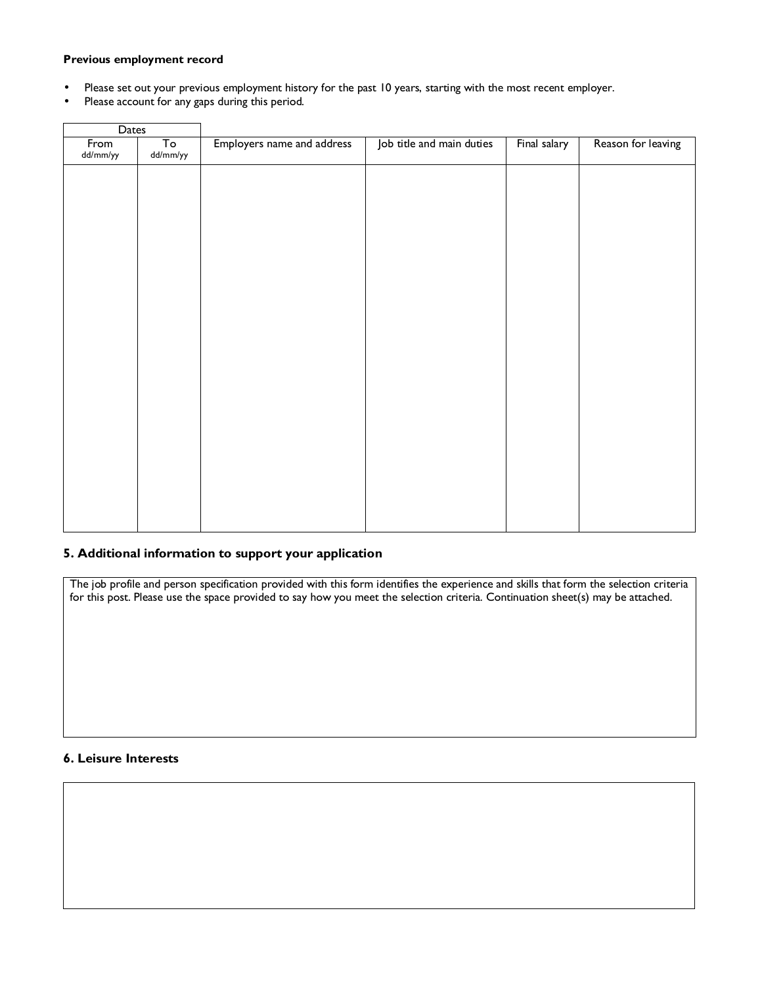#### Previous employment record

- Please set out your previous employment history for the past 10 years, starting with the most recent employer.
- Please account for any gaps during this period.

| To<br>From<br>Employers name and address<br>Job title and main duties<br>Final salary<br>dd/mm/yy<br>dd/mm/yy | Dates |  |  |  |  |                    |
|---------------------------------------------------------------------------------------------------------------|-------|--|--|--|--|--------------------|
|                                                                                                               |       |  |  |  |  | Reason for leaving |
|                                                                                                               |       |  |  |  |  |                    |
|                                                                                                               |       |  |  |  |  |                    |
|                                                                                                               |       |  |  |  |  |                    |
|                                                                                                               |       |  |  |  |  |                    |
|                                                                                                               |       |  |  |  |  |                    |
|                                                                                                               |       |  |  |  |  |                    |
|                                                                                                               |       |  |  |  |  |                    |
|                                                                                                               |       |  |  |  |  |                    |
|                                                                                                               |       |  |  |  |  |                    |
|                                                                                                               |       |  |  |  |  |                    |
|                                                                                                               |       |  |  |  |  |                    |
|                                                                                                               |       |  |  |  |  |                    |
|                                                                                                               |       |  |  |  |  |                    |

## 5. Additional information to support your application

The job profile and person specification provided with this form identifies the experience and skills that form the selection criteria for this post. Please use the space provided to say how you meet the selection criteria. Continuation sheet(s) may be attached.

## 6. Leisure Interests